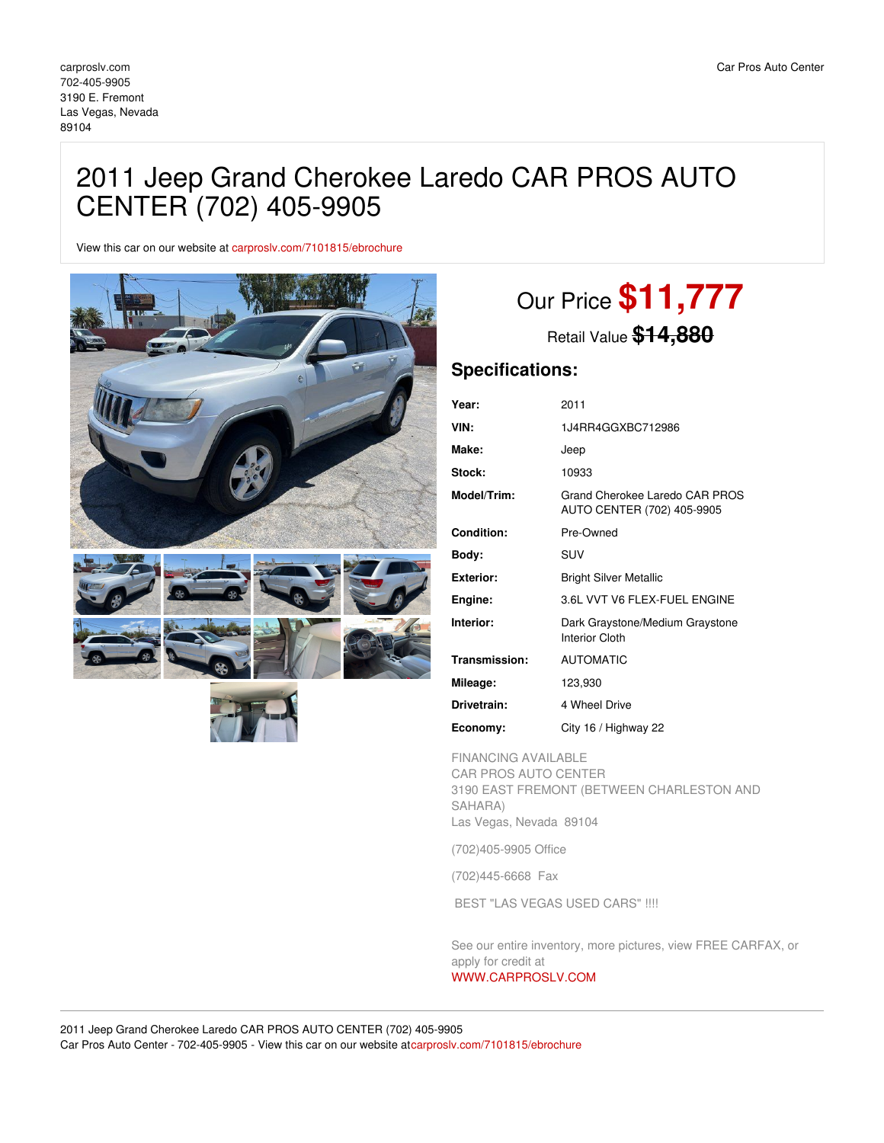## 2011 Jeep Grand Cherokee Laredo CAR PROS AUTO CENTER (702) 405-9905

View this car on our website at [carproslv.com/7101815/ebrochure](https://carproslv.com/vehicle/7101815/2011-jeep-grand-cherokee-laredo-car-pros-auto-center-702-405-9905-las-vegas-nevada-89104/7101815/ebrochure)



# Our Price **\$11,777**

Retail Value **\$14,880**

## **Specifications:**

| Year:            | 2011                                                         |
|------------------|--------------------------------------------------------------|
| VIN:             | 1J4RR4GGXBC712986                                            |
| Make:            | Jeep                                                         |
| Stock:           | 10933                                                        |
| Model/Trim:      | Grand Cherokee Laredo CAR PROS<br>AUTO CENTER (702) 405-9905 |
| Condition:       | Pre-Owned                                                    |
| Body:            | <b>SUV</b>                                                   |
| <b>Exterior:</b> | <b>Bright Silver Metallic</b>                                |
| Engine:          | 3.6L VVT V6 FLEX-FUEL ENGINE                                 |
| Interior:        | Dark Graystone/Medium Graystone<br><b>Interior Cloth</b>     |
| Transmission:    | <b>AUTOMATIC</b>                                             |
| Mileage:         | 123,930                                                      |
| Drivetrain:      | 4 Wheel Drive                                                |
| Economy:         | City 16 / Highway 22                                         |

FINANCING AVAILABLE CAR PROS AUTO CENTER 3190 EAST FREMONT (BETWEEN CHARLESTON AND SAHARA) Las Vegas, Nevada 89104

(702)405-9905 Office

(702)445-6668 Fax

BEST "LAS VEGAS USED CARS" !!!!

See our entire inventory, more pictures, view FREE CARFAX, or apply for credit at

### [WWW.CARPROSLV.COM](http://www.carproslv.com)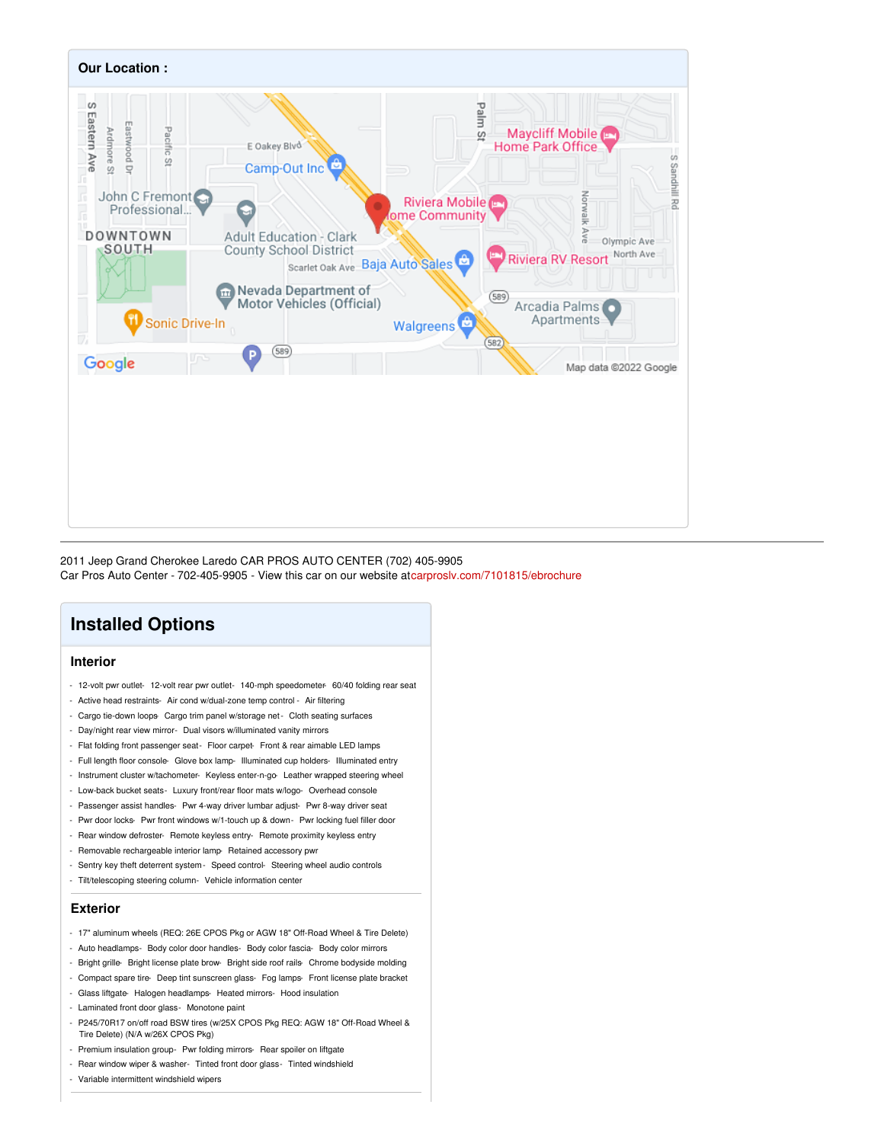

2011 Jeep Grand Cherokee Laredo CAR PROS AUTO CENTER (702) 405-9905 Car Pros Auto Center - 702-405-9905 - View this car on our website a[tcarproslv.com/7101815/ebrochure](https://carproslv.com/vehicle/7101815/2011-jeep-grand-cherokee-laredo-car-pros-auto-center-702-405-9905-las-vegas-nevada-89104/7101815/ebrochure)

## **Installed Options**

#### **Interior**

- 12-volt pwr outlet- 12-volt rear pwr outlet- 140-mph speedometer- 60/40 folding rear seat
- Active head restraints- Air cond w/dual-zone temp control Air filtering
- Cargo tie-down loops- Cargo trim panel w/storage net- Cloth seating surfaces
- Day/night rear view mirror- Dual visors w/illuminated vanity mirrors
- Flat folding front passenger seat- Floor carpet- Front & rear aimable LED lamps
- Full length floor console- Glove box lamp- Illuminated cup holders- Illuminated entry
- Instrument cluster w/tachometer- Keyless enter-n-go-Leather wrapped steering wheel
- Low-back bucket seats- Luxury front/rear floor mats w/logo- Overhead console
- Passenger assist handles- Pwr 4-way driver lumbar adjust- Pwr 8-way driver seat
- Pwr door locks- Pwr front windows w/1-touch up & down- Pwr locking fuel filler door
- Rear window defroster- Remote keyless entry- Remote proximity keyless entry
- Removable rechargeable interior lamp- Retained accessory pwr
- Sentry key theft deterrent system- Speed control- Steering wheel audio controls
- Tilt/telescoping steering column- Vehicle information center

#### **Exterior**

- 17" aluminum wheels (REQ: 26E CPOS Pkg or AGW 18" Off-Road Wheel & Tire Delete)
- Auto headlamps- Body color door handles- Body color fascia- Body color mirrors
- Bright grille- Bright license plate brow- Bright side roof rails- Chrome bodyside molding
- Compact spare tire- Deep tint sunscreen glass- Fog lamps- Front license plate bracket
- Glass liftgate- Halogen headlamps- Heated mirrors- Hood insulation
- Laminated front door glass- Monotone paint
- P245/70R17 on/off road BSW tires (w/25X CPOS Pkg REQ: AGW 18" Off-Road Wheel & Tire Delete) (N/A w/26X CPOS Pkg)
- Premium insulation group- Pwr folding mirrors- Rear spoiler on liftgate
- Rear window wiper & washer- Tinted front door glass- Tinted windshield
- Variable intermittent windshield wipers